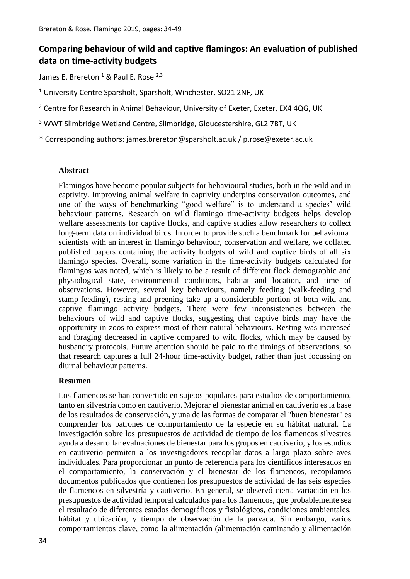# **Comparing behaviour of wild and captive flamingos: An evaluation of published data on time-activity budgets**

James E. Brereton <sup>1</sup> & Paul E. Rose <sup>2,3</sup>

<sup>1</sup> University Centre Sparsholt, Sparsholt, Winchester, SO21 2NF, UK

<sup>2</sup> Centre for Research in Animal Behaviour, University of Exeter, Exeter, EX4 4QG, UK

<sup>3</sup> WWT Slimbridge Wetland Centre, Slimbridge, Gloucestershire, GL2 7BT, UK

\* Corresponding authors: james.brereton@sparsholt.ac.uk / p.rose@exeter.ac.uk

#### **Abstract**

Flamingos have become popular subjects for behavioural studies, both in the wild and in captivity. Improving animal welfare in captivity underpins conservation outcomes, and one of the ways of benchmarking "good welfare" is to understand a species' wild behaviour patterns. Research on wild flamingo time-activity budgets helps develop welfare assessments for captive flocks, and captive studies allow researchers to collect long-term data on individual birds. In order to provide such a benchmark for behavioural scientists with an interest in flamingo behaviour, conservation and welfare, we collated published papers containing the activity budgets of wild and captive birds of all six flamingo species. Overall, some variation in the time-activity budgets calculated for flamingos was noted, which is likely to be a result of different flock demographic and physiological state, environmental conditions, habitat and location, and time of observations. However, several key behaviours, namely feeding (walk-feeding and stamp-feeding), resting and preening take up a considerable portion of both wild and captive flamingo activity budgets. There were few inconsistencies between the behaviours of wild and captive flocks, suggesting that captive birds may have the opportunity in zoos to express most of their natural behaviours. Resting was increased and foraging decreased in captive compared to wild flocks, which may be caused by husbandry protocols. Future attention should be paid to the timings of observations, so that research captures a full 24-hour time-activity budget, rather than just focussing on diurnal behaviour patterns.

### **Resumen**

Los flamencos se han convertido en sujetos populares para estudios de comportamiento, tanto en silvestría como en cautiverio. Mejorar el bienestar animal en cautiverio es la base de los resultados de conservación, y una de las formas de comparar el "buen bienestar" es comprender los patrones de comportamiento de la especie en su hábitat natural. La investigación sobre los presupuestos de actividad de tiempo de los flamencos silvestres ayuda a desarrollar evaluaciones de bienestar para los grupos en cautiverio, y los estudios en cautiverio permiten a los investigadores recopilar datos a largo plazo sobre aves individuales. Para proporcionar un punto de referencia para los científicos interesados en el comportamiento, la conservación y el bienestar de los flamencos, recopilamos documentos publicados que contienen los presupuestos de actividad de las seis especies de flamencos en silvestría y cautiverio. En general, se observó cierta variación en los presupuestos de actividad temporal calculados para los flamencos, que probablemente sea el resultado de diferentes estados demográficos y fisiológicos, condiciones ambientales, hábitat y ubicación, y tiempo de observación de la parvada. Sin embargo, varios comportamientos clave, como la alimentación (alimentación caminando y alimentación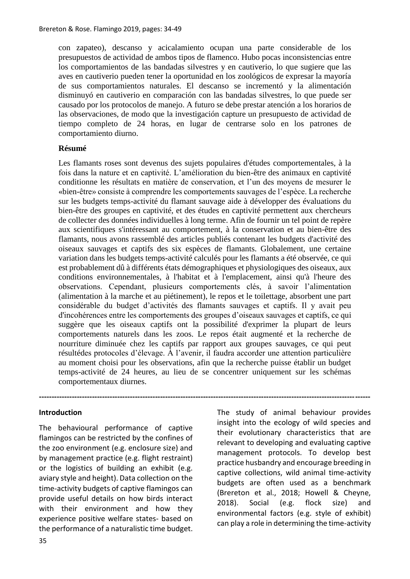con zapateo), descanso y acicalamiento ocupan una parte considerable de los presupuestos de actividad de ambos tipos de flamenco. Hubo pocas inconsistencias entre los comportamientos de las bandadas silvestres y en cautiverio, lo que sugiere que las aves en cautiverio pueden tener la oportunidad en los zoológicos de expresar la mayoría de sus comportamientos naturales. El descanso se incrementó y la alimentación disminuyó en cautiverio en comparación con las bandadas silvestres, lo que puede ser causado por los protocolos de manejo. A futuro se debe prestar atención a los horarios de las observaciones, de modo que la investigación capture un presupuesto de actividad de tiempo completo de 24 horas, en lugar de centrarse solo en los patrones de comportamiento diurno.

#### **Résumé**

Les flamants roses sont devenus des sujets populaires d'études comportementales, à la fois dans la nature et en captivité. L'amélioration du bien-être des animaux en captivité conditionne les résultats en matière de conservation, et l'un des moyens de mesurer le «bien-être» consiste à comprendre les comportements sauvages de l'espèce. La recherche sur les budgets temps-activité du flamant sauvage aide à développer des évaluations du bien-être des groupes en captivité, et des études en captivité permettent aux chercheurs de collecter des données individuelles à long terme. Afin de fournir un tel point de repère aux scientifiques s'intéressant au comportement, à la conservation et au bien-être des flamants, nous avons rassemblé des articles publiés contenant les budgets d'activité des oiseaux sauvages et captifs des six espèces de flamants. Globalement, une certaine variation dans les budgets temps-activité calculés pour les flamants a été observée, ce qui est probablement dû à différents états démographiques et physiologiques des oiseaux, aux conditions environnementales, à l'habitat et à l'emplacement, ainsi qu'à l'heure des observations. Cependant, plusieurs comportements clés, à savoir l'alimentation (alimentation à la marche et au piétinement), le repos et le toilettage, absorbent une part considérable du budget d'activités des flamants sauvages et captifs. Il y avait peu d'incohérences entre les comportements des groupes d'oiseaux sauvages et captifs, ce qui suggère que les oiseaux captifs ont la possibilité d'exprimer la plupart de leurs comportements naturels dans les zoos. Le repos était augmenté et la recherche de nourriture diminuée chez les captifs par rapport aux groupes sauvages, ce qui peut résultédes protocoles d'élevage. À l'avenir, il faudra accorder une attention particulière au moment choisi pour les observations, afin que la recherche puisse établir un budget temps-activité de 24 heures, au lieu de se concentrer uniquement sur les schémas comportementaux diurnes.

**-----------------------------------------------------------------------------------------------------------------------------------**

#### **Introduction**

The behavioural performance of captive flamingos can be restricted by the confines of the zoo environment (e.g. enclosure size) and by management practice (e.g. flight restraint) or the logistics of building an exhibit (e.g. aviary style and height). Data collection on the time-activity budgets of captive flamingos can provide useful details on how birds interact with their environment and how they experience positive welfare states- based on the performance of a naturalistic time budget.

The study of animal behaviour provides insight into the ecology of wild species and their evolutionary characteristics that are relevant to developing and evaluating captive management protocols. To develop best practice husbandry and encourage breeding in captive collections, wild animal time-activity budgets are often used as a benchmark (Brereton et al., 2018; Howell & Cheyne, 2018). Social (e.g. flock size) and environmental factors (e.g. style of exhibit) can play a role in determining the time-activity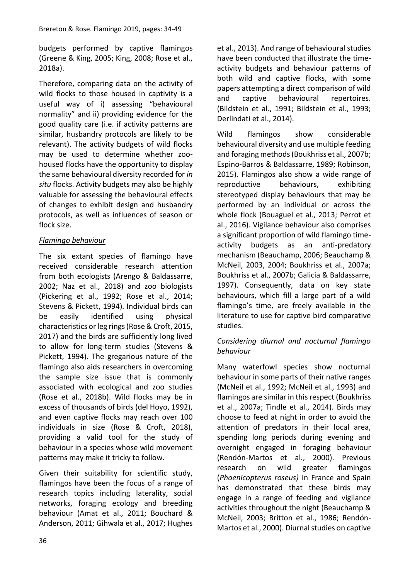budgets performed by captive flamingos (Greene & King, 2005; King, 2008; Rose et al., 2018a).

Therefore, comparing data on the activity of wild flocks to those housed in captivity is a useful way of i) assessing "behavioural normality" and ii) providing evidence for the good quality care (i.e. if activity patterns are similar, husbandry protocols are likely to be relevant). The activity budgets of wild flocks may be used to determine whether zoohoused flocks have the opportunity to display the same behavioural diversity recorded for *in situ* flocks. Activity budgets may also be highly valuable for assessing the behavioural effects of changes to exhibit design and husbandry protocols, as well as influences of season or flock size.

# *Flamingo behaviour*

The six extant species of flamingo have received considerable research attention from both ecologists (Arengo & Baldassarre, 2002; Naz et al., 2018) and zoo biologists (Pickering et al., 1992; Rose et al., 2014; Stevens & Pickett, 1994). Individual birds can be easily identified using physical characteristics or leg rings (Rose & Croft, 2015, 2017) and the birds are sufficiently long lived to allow for long-term studies (Stevens & Pickett, 1994). The gregarious nature of the flamingo also aids researchers in overcoming the sample size issue that is commonly associated with ecological and zoo studies (Rose et al., 2018b). Wild flocks may be in excess of thousands of birds (del Hoyo, 1992), and even captive flocks may reach over 100 individuals in size (Rose & Croft, 2018), providing a valid tool for the study of behaviour in a species whose wild movement patterns may make it tricky to follow.

Given their suitability for scientific study, flamingos have been the focus of a range of research topics including laterality, social networks, foraging ecology and breeding behaviour (Amat et al., 2011; Bouchard & Anderson, 2011; Gihwala et al., 2017; Hughes

et al., 2013). And range of behavioural studies have been conducted that illustrate the timeactivity budgets and behaviour patterns of both wild and captive flocks, with some papers attempting a direct comparison of wild and captive behavioural repertoires. (Bildstein et al., 1991; Bildstein et al., 1993; Derlindati et al., 2014).

Wild flamingos show considerable behavioural diversity and use multiple feeding and foraging methods (Boukhriss et al., 2007b; Espino-Barros & Baldassarre, 1989; Robinson, 2015). Flamingos also show a wide range of reproductive behaviours, exhibiting stereotyped display behaviours that may be performed by an individual or across the whole flock (Bouaguel et al., 2013; Perrot et al., 2016). Vigilance behaviour also comprises a significant proportion of wild flamingo timeactivity budgets as an anti-predatory mechanism (Beauchamp, 2006; Beauchamp & McNeil, 2003, 2004; Boukhriss et al., 2007a; Boukhriss et al., 2007b; Galicia & Baldassarre, 1997). Consequently, data on key state behaviours, which fill a large part of a wild flamingo's time, are freely available in the literature to use for captive bird comparative studies.

## *Considering diurnal and nocturnal flamingo behaviour*

Many waterfowl species show nocturnal behaviour in some parts of their native ranges (McNeil et al., 1992; McNeil et al., 1993) and flamingos are similar in this respect (Boukhriss et al., 2007a; Tindle et al., 2014). Birds may choose to feed at night in order to avoid the attention of predators in their local area, spending long periods during evening and overnight engaged in foraging behaviour (Rendón-Martos et al., 2000). Previous research on wild greater flamingos (*Phoenicopterus roseus)* in France and Spain has demonstrated that these birds may engage in a range of feeding and vigilance activities throughout the night (Beauchamp & McNeil, 2003; Britton et al., 1986; Rendón-Martos et al., 2000). Diurnal studies on captive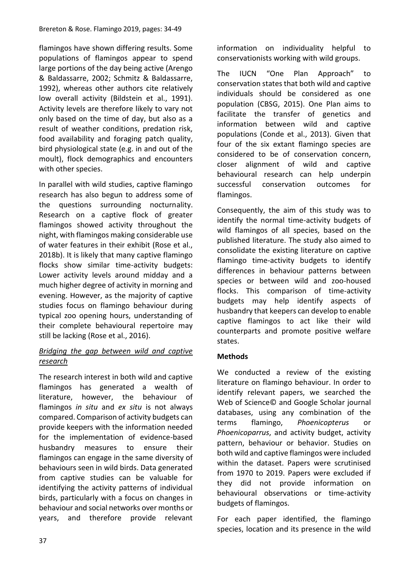flamingos have shown differing results. Some populations of flamingos appear to spend large portions of the day being active (Arengo & Baldassarre, 2002; Schmitz & Baldassarre, 1992), whereas other authors cite relatively low overall activity (Bildstein et al., 1991). Activity levels are therefore likely to vary not only based on the time of day, but also as a result of weather conditions, predation risk, food availability and foraging patch quality, bird physiological state (e.g. in and out of the moult), flock demographics and encounters with other species.

In parallel with wild studies, captive flamingo research has also begun to address some of the questions surrounding nocturnality. Research on a captive flock of greater flamingos showed activity throughout the night, with flamingos making considerable use of water features in their exhibit (Rose et al., 2018b). It is likely that many captive flamingo flocks show similar time-activity budgets: Lower activity levels around midday and a much higher degree of activity in morning and evening. However, as the majority of captive studies focus on flamingo behaviour during typical zoo opening hours, understanding of their complete behavioural repertoire may still be lacking (Rose et al., 2016).

## *Bridging the gap between wild and captive research*

The research interest in both wild and captive flamingos has generated a wealth of literature, however, the behaviour of flamingos *in situ* and *ex situ* is not always compared. Comparison of activity budgets can provide keepers with the information needed for the implementation of evidence-based husbandry measures to ensure their flamingos can engage in the same diversity of behaviours seen in wild birds. Data generated from captive studies can be valuable for identifying the activity patterns of individual birds, particularly with a focus on changes in behaviour and social networks over months or years, and therefore provide relevant

information on individuality helpful to conservationists working with wild groups.

The IUCN "One Plan Approach" to conservation states that both wild and captive individuals should be considered as one population (CBSG, 2015). One Plan aims to facilitate the transfer of genetics and information between wild and captive populations (Conde et al., 2013). Given that four of the six extant flamingo species are considered to be of conservation concern, closer alignment of wild and captive behavioural research can help underpin successful conservation outcomes for flamingos.

Consequently, the aim of this study was to identify the normal time-activity budgets of wild flamingos of all species, based on the published literature. The study also aimed to consolidate the existing literature on captive flamingo time-activity budgets to identify differences in behaviour patterns between species or between wild and zoo-housed flocks. This comparison of time-activity budgets may help identify aspects of husbandry that keepers can develop to enable captive flamingos to act like their wild counterparts and promote positive welfare states.

## **Methods**

We conducted a review of the existing literature on flamingo behaviour. In order to identify relevant papers, we searched the Web of Science© and Google Scholar journal databases, using any combination of the terms flamingo, *Phoenicopterus* or *Phoenicoparrus*, and activity budget, activity pattern, behaviour or behavior. Studies on both wild and captive flamingos were included within the dataset. Papers were scrutinised from 1970 to 2019. Papers were excluded if they did not provide information on behavioural observations or time-activity budgets of flamingos.

For each paper identified, the flamingo species, location and its presence in the wild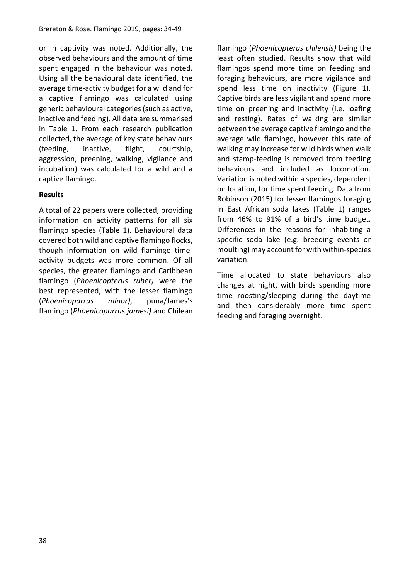or in captivity was noted. Additionally, the observed behaviours and the amount of time spent engaged in the behaviour was noted. Using all the behavioural data identified, the average time-activity budget for a wild and for a captive flamingo was calculated using generic behavioural categories (such as active, inactive and feeding). All data are summarised in Table 1. From each research publication collected, the average of key state behaviours (feeding, inactive, flight, courtship, aggression, preening, walking, vigilance and incubation) was calculated for a wild and a captive flamingo.

### **Results**

A total of 22 papers were collected, providing information on activity patterns for all six flamingo species (Table 1). Behavioural data covered both wild and captive flamingo flocks, though information on wild flamingo timeactivity budgets was more common. Of all species, the greater flamingo and Caribbean flamingo (*Phoenicopterus ruber)* were the best represented, with the lesser flamingo (*Phoenicoparrus minor)*, puna/James's flamingo (*Phoenicoparrus jamesi)* and Chilean flamingo (*Phoenicopterus chilensis)* being the least often studied. Results show that wild flamingos spend more time on feeding and foraging behaviours, are more vigilance and spend less time on inactivity (Figure 1). Captive birds are less vigilant and spend more time on preening and inactivity (i.e. loafing and resting). Rates of walking are similar between the average captive flamingo and the average wild flamingo, however this rate of walking may increase for wild birds when walk and stamp-feeding is removed from feeding behaviours and included as locomotion. Variation is noted within a species, dependent on location, for time spent feeding. Data from Robinson (2015) for lesser flamingos foraging in East African soda lakes (Table 1) ranges from 46% to 91% of a bird's time budget. Differences in the reasons for inhabiting a specific soda lake (e.g. breeding events or moulting) may account for with within-species variation.

Time allocated to state behaviours also changes at night, with birds spending more time roosting/sleeping during the daytime and then considerably more time spent feeding and foraging overnight.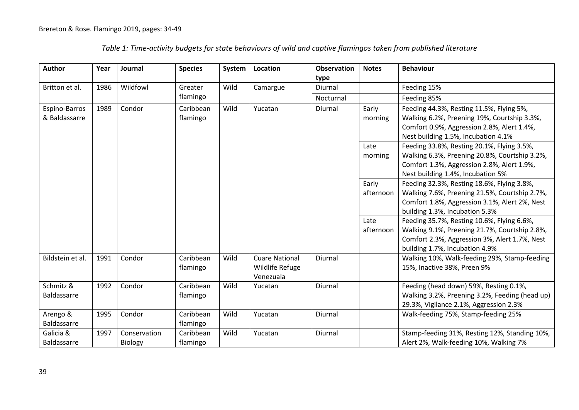| <b>Author</b>      | Year | Journal      | <b>Species</b> | System | Location              | <b>Observation</b> | <b>Notes</b> | <b>Behaviour</b>                               |
|--------------------|------|--------------|----------------|--------|-----------------------|--------------------|--------------|------------------------------------------------|
|                    |      |              |                |        |                       | type               |              |                                                |
| Britton et al.     | 1986 | Wildfowl     | Greater        | Wild   | Camargue              | Diurnal            |              | Feeding 15%                                    |
|                    |      |              | flamingo       |        |                       | Nocturnal          |              | Feeding 85%                                    |
| Espino-Barros      | 1989 | Condor       | Caribbean      | Wild   | Yucatan               | Diurnal            | Early        | Feeding 44.3%, Resting 11.5%, Flying 5%,       |
| & Baldassarre      |      |              | flamingo       |        |                       |                    | morning      | Walking 6.2%, Preening 19%, Courtship 3.3%,    |
|                    |      |              |                |        |                       |                    |              | Comfort 0.9%, Aggression 2.8%, Alert 1.4%,     |
|                    |      |              |                |        |                       |                    |              | Nest building 1.5%, Incubation 4.1%            |
|                    |      |              |                |        |                       |                    | Late         | Feeding 33.8%, Resting 20.1%, Flying 3.5%,     |
|                    |      |              |                |        |                       |                    | morning      | Walking 6.3%, Preening 20.8%, Courtship 3.2%,  |
|                    |      |              |                |        |                       |                    |              | Comfort 1.3%, Aggression 2.8%, Alert 1.9%,     |
|                    |      |              |                |        |                       |                    |              | Nest building 1.4%, Incubation 5%              |
|                    |      |              |                |        |                       |                    | Early        | Feeding 32.3%, Resting 18.6%, Flying 3.8%,     |
|                    |      |              |                |        |                       |                    | afternoon    | Walking 7.6%, Preening 21.5%, Courtship 2.7%,  |
|                    |      |              |                |        |                       |                    |              | Comfort 1.8%, Aggression 3.1%, Alert 2%, Nest  |
|                    |      |              |                |        |                       |                    |              | building 1.3%, Incubation 5.3%                 |
|                    |      |              |                |        |                       |                    | Late         | Feeding 35.7%, Resting 10.6%, Flying 6.6%,     |
|                    |      |              |                |        |                       |                    | afternoon    | Walking 9.1%, Preening 21.7%, Courtship 2.8%,  |
|                    |      |              |                |        |                       |                    |              | Comfort 2.3%, Aggression 3%, Alert 1.7%, Nest  |
|                    |      |              |                |        |                       |                    |              | building 1.7%, Incubation 4.9%                 |
| Bildstein et al.   | 1991 | Condor       | Caribbean      | Wild   | <b>Cuare National</b> | Diurnal            |              | Walking 10%, Walk-feeding 29%, Stamp-feeding   |
|                    |      |              | flamingo       |        | Wildlife Refuge       |                    |              | 15%, Inactive 38%, Preen 9%                    |
|                    |      |              |                |        | Venezuala             |                    |              |                                                |
| Schmitz &          | 1992 | Condor       | Caribbean      | Wild   | Yucatan               | Diurnal            |              | Feeding (head down) 59%, Resting 0.1%,         |
| Baldassarre        |      |              | flamingo       |        |                       |                    |              | Walking 3.2%, Preening 3.2%, Feeding (head up) |
|                    |      |              |                |        |                       |                    |              | 29.3%, Vigilance 2.1%, Aggression 2.3%         |
| Arengo &           | 1995 | Condor       | Caribbean      | Wild   | Yucatan               | Diurnal            |              | Walk-feeding 75%, Stamp-feeding 25%            |
| <b>Baldassarre</b> |      |              | flamingo       |        |                       |                    |              |                                                |
| Galicia &          | 1997 | Conservation | Caribbean      | Wild   | Yucatan               | Diurnal            |              | Stamp-feeding 31%, Resting 12%, Standing 10%,  |
| Baldassarre        |      | Biology      | flamingo       |        |                       |                    |              | Alert 2%, Walk-feeding 10%, Walking 7%         |

*Table 1: Time-activity budgets for state behaviours of wild and captive flamingos taken from published literature*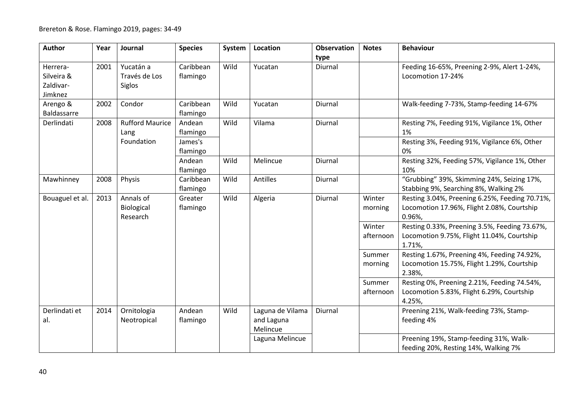| Author          | Year | Journal                | <b>Species</b> | System | Location         | <b>Observation</b> | <b>Notes</b> | <b>Behaviour</b>                               |
|-----------------|------|------------------------|----------------|--------|------------------|--------------------|--------------|------------------------------------------------|
|                 |      |                        |                |        |                  | type               |              |                                                |
| Herrera-        | 2001 | Yucatán a              | Caribbean      | Wild   | Yucatan          | Diurnal            |              | Feeding 16-65%, Preening 2-9%, Alert 1-24%,    |
| Silveira &      |      | Través de Los          | flamingo       |        |                  |                    |              | Locomotion 17-24%                              |
| Zaldivar-       |      | Siglos                 |                |        |                  |                    |              |                                                |
| Jimknez         |      |                        |                |        |                  |                    |              |                                                |
| Arengo &        | 2002 | Condor                 | Caribbean      | Wild   | Yucatan          | Diurnal            |              | Walk-feeding 7-73%, Stamp-feeding 14-67%       |
| Baldassarre     |      |                        | flamingo       |        |                  |                    |              |                                                |
| Derlindati      | 2008 | <b>Rufford Maurice</b> | Andean         | Wild   | Vilama           | Diurnal            |              | Resting 7%, Feeding 91%, Vigilance 1%, Other   |
|                 |      | Lang                   | flamingo       |        |                  |                    |              | 1%                                             |
|                 |      | Foundation             | James's        |        |                  |                    |              | Resting 3%, Feeding 91%, Vigilance 6%, Other   |
|                 |      |                        | flamingo       |        |                  |                    |              | 0%                                             |
|                 |      |                        | Andean         | Wild   | Melincue         | Diurnal            |              | Resting 32%, Feeding 57%, Vigilance 1%, Other  |
|                 |      |                        | flamingo       |        |                  |                    |              | 10%                                            |
| Mawhinney       | 2008 | Physis                 | Caribbean      | Wild   | Antilles         | Diurnal            |              | "Grubbing" 39%, Skimming 24%, Seizing 17%,     |
|                 |      |                        | flamingo       |        |                  |                    |              | Stabbing 9%, Searching 8%, Walking 2%          |
| Bouaguel et al. | 2013 | Annals of              | Greater        | Wild   | Algeria          | Diurnal            | Winter       | Resting 3.04%, Preening 6.25%, Feeding 70.71%, |
|                 |      | Biological             | flamingo       |        |                  |                    | morning      | Locomotion 17.96%, Flight 2.08%, Courtship     |
|                 |      | Research               |                |        |                  |                    |              | 0.96%,                                         |
|                 |      |                        |                |        |                  |                    | Winter       | Resting 0.33%, Preening 3.5%, Feeding 73.67%,  |
|                 |      |                        |                |        |                  |                    | afternoon    | Locomotion 9.75%, Flight 11.04%, Courtship     |
|                 |      |                        |                |        |                  |                    |              | 1.71%,                                         |
|                 |      |                        |                |        |                  |                    | Summer       | Resting 1.67%, Preening 4%, Feeding 74.92%,    |
|                 |      |                        |                |        |                  |                    | morning      | Locomotion 15.75%, Flight 1.29%, Courtship     |
|                 |      |                        |                |        |                  |                    |              | 2.38%,                                         |
|                 |      |                        |                |        |                  |                    | Summer       | Resting 0%, Preening 2.21%, Feeding 74.54%,    |
|                 |      |                        |                |        |                  |                    | afternoon    | Locomotion 5.83%, Flight 6.29%, Courtship      |
|                 |      |                        |                |        |                  |                    |              | 4.25%,                                         |
| Derlindati et   | 2014 | Ornitologia            | Andean         | Wild   | Laguna de Vilama | Diurnal            |              | Preening 21%, Walk-feeding 73%, Stamp-         |
| al.             |      | Neotropical            | flamingo       |        | and Laguna       |                    |              | feeding 4%                                     |
|                 |      |                        |                |        | Melincue         |                    |              |                                                |
|                 |      |                        |                |        | Laguna Melincue  |                    |              | Preening 19%, Stamp-feeding 31%, Walk-         |
|                 |      |                        |                |        |                  |                    |              | feeding 20%, Resting 14%, Walking 7%           |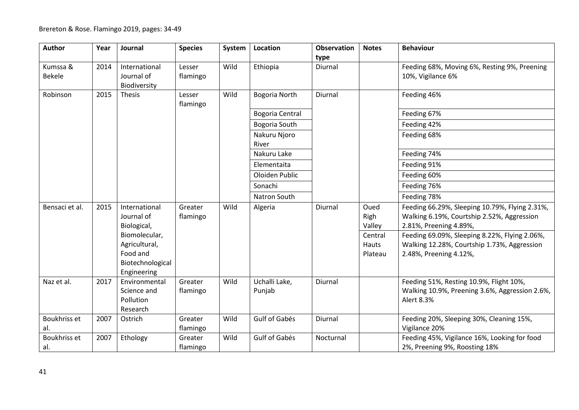| Author              | Year | Journal          | <b>Species</b>      | System | Location        | <b>Observation</b> | <b>Notes</b> | <b>Behaviour</b>                                          |
|---------------------|------|------------------|---------------------|--------|-----------------|--------------------|--------------|-----------------------------------------------------------|
|                     |      |                  |                     |        |                 | type               |              |                                                           |
| Kumssa &            | 2014 | International    | Lesser              | Wild   | Ethiopia        | Diurnal            |              | Feeding 68%, Moving 6%, Resting 9%, Preening              |
| <b>Bekele</b>       |      | Journal of       | flamingo            |        |                 |                    |              | 10%, Vigilance 6%                                         |
|                     |      | Biodiversity     |                     |        |                 |                    |              |                                                           |
| Robinson            | 2015 | Thesis           | Lesser<br>flamingo  | Wild   | Bogoria North   | Diurnal            |              | Feeding 46%                                               |
|                     |      |                  |                     |        | Bogoria Central |                    |              | Feeding 67%                                               |
|                     |      |                  |                     |        | Bogoria South   |                    |              | Feeding 42%                                               |
|                     |      |                  |                     |        | Nakuru Njoro    |                    |              | Feeding 68%                                               |
|                     |      |                  |                     |        | River           |                    |              |                                                           |
|                     |      |                  |                     |        | Nakuru Lake     |                    |              | Feeding 74%                                               |
|                     |      |                  |                     |        | Elementaita     |                    |              | Feeding 91%                                               |
|                     |      |                  |                     |        | Oloiden Public  |                    |              | Feeding 60%                                               |
|                     |      |                  |                     |        | Sonachi         |                    |              | Feeding 76%                                               |
|                     |      |                  |                     |        | Natron South    |                    |              | Feeding 78%                                               |
| Bensaci et al.      | 2015 | International    | Greater             | Wild   | Algeria         | Diurnal            | Oued         | Feeding 66.29%, Sleeping 10.79%, Flying 2.31%,            |
|                     |      | Journal of       | flamingo            |        |                 |                    | Righ         | Walking 6.19%, Courtship 2.52%, Aggression                |
|                     |      | Biological,      |                     |        |                 |                    | Valley       | 2.81%, Preening 4.89%,                                    |
|                     |      | Biomolecular,    |                     |        |                 |                    | Central      | Feeding 69.09%, Sleeping 8.22%, Flying 2.06%,             |
|                     |      | Agricultural,    |                     |        |                 |                    | Hauts        | Walking 12.28%, Courtship 1.73%, Aggression               |
|                     |      | Food and         |                     |        |                 |                    | Plateau      | 2.48%, Preening 4.12%,                                    |
|                     |      | Biotechnological |                     |        |                 |                    |              |                                                           |
|                     |      | Engineering      |                     |        |                 |                    |              |                                                           |
| Naz et al.          | 2017 | Environmental    | Greater             | Wild   | Uchalli Lake,   | Diurnal            |              | Feeding 51%, Resting 10.9%, Flight 10%,                   |
|                     |      | Science and      | flamingo            |        | Punjab          |                    |              | Walking 10.9%, Preening 3.6%, Aggression 2.6%,            |
|                     |      | Pollution        |                     |        |                 |                    |              | Alert 8.3%                                                |
|                     |      | Research         |                     |        |                 |                    |              |                                                           |
| Boukhriss et<br>al. | 2007 | Ostrich          | Greater<br>flamingo | Wild   | Gulf of Gabés   | <b>Diurnal</b>     |              | Feeding 20%, Sleeping 30%, Cleaning 15%,<br>Vigilance 20% |
| Boukhriss et        | 2007 | Ethology         | Greater             | Wild   | Gulf of Gabés   | Nocturnal          |              | Feeding 45%, Vigilance 16%, Looking for food              |
| al.                 |      |                  | flamingo            |        |                 |                    |              | 2%, Preening 9%, Roosting 18%                             |
|                     |      |                  |                     |        |                 |                    |              |                                                           |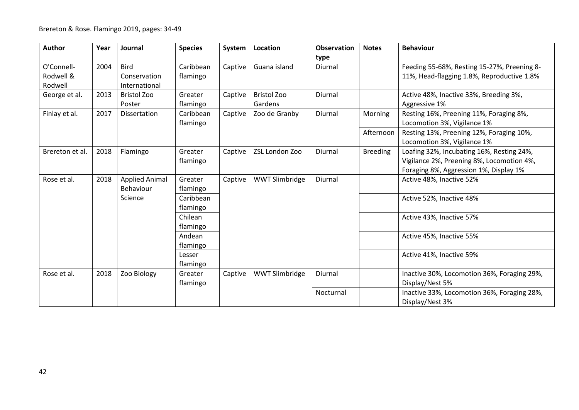| Author                             | Year | Journal                                       | <b>Species</b>        | System  | Location                      | <b>Observation</b> | <b>Notes</b>    | <b>Behaviour</b>                                                                                                                 |
|------------------------------------|------|-----------------------------------------------|-----------------------|---------|-------------------------------|--------------------|-----------------|----------------------------------------------------------------------------------------------------------------------------------|
| O'Connell-<br>Rodwell &<br>Rodwell | 2004 | <b>Bird</b><br>Conservation<br>International  | Caribbean<br>flamingo | Captive | Guana island                  | type<br>Diurnal    |                 | Feeding 55-68%, Resting 15-27%, Preening 8-<br>11%, Head-flagging 1.8%, Reproductive 1.8%                                        |
| George et al.                      | 2013 | <b>Bristol Zoo</b><br>Poster                  | Greater<br>flamingo   | Captive | <b>Bristol Zoo</b><br>Gardens | Diurnal            |                 | Active 48%, Inactive 33%, Breeding 3%,<br>Aggressive 1%                                                                          |
| Finlay et al.                      | 2017 | Dissertation                                  | Caribbean<br>flamingo | Captive | Zoo de Granby                 | Diurnal            | Morning         | Resting 16%, Preening 11%, Foraging 8%,<br>Locomotion 3%, Vigilance 1%                                                           |
|                                    |      |                                               |                       |         |                               |                    | Afternoon       | Resting 13%, Preening 12%, Foraging 10%,<br>Locomotion 3%, Vigilance 1%                                                          |
| Brereton et al.                    | 2018 | Flamingo                                      | Greater<br>flamingo   | Captive | ZSL London Zoo                | Diurnal            | <b>Breeding</b> | Loafing 32%, Incubating 16%, Resting 24%,<br>Vigilance 2%, Preening 8%, Locomotion 4%,<br>Foraging 8%, Aggression 1%, Display 1% |
| Rose et al.                        | 2018 | <b>Applied Animal</b><br>Behaviour<br>Science | Greater<br>flamingo   | Captive | WWT Slimbridge                | Diurnal            |                 | Active 48%, Inactive 52%                                                                                                         |
|                                    |      |                                               | Caribbean<br>flamingo |         |                               |                    |                 | Active 52%, Inactive 48%                                                                                                         |
|                                    |      |                                               | Chilean<br>flamingo   |         |                               |                    |                 | Active 43%, Inactive 57%                                                                                                         |
|                                    |      |                                               | Andean<br>flamingo    |         |                               |                    |                 | Active 45%, Inactive 55%                                                                                                         |
|                                    |      |                                               | Lesser<br>flamingo    |         |                               |                    |                 | Active 41%, Inactive 59%                                                                                                         |
| Rose et al.                        | 2018 | Zoo Biology                                   | Greater<br>flamingo   | Captive | <b>WWT Slimbridge</b>         | Diurnal            |                 | Inactive 30%, Locomotion 36%, Foraging 29%,<br>Display/Nest 5%                                                                   |
|                                    |      |                                               |                       |         |                               | Nocturnal          |                 | Inactive 33%, Locomotion 36%, Foraging 28%,<br>Display/Nest 3%                                                                   |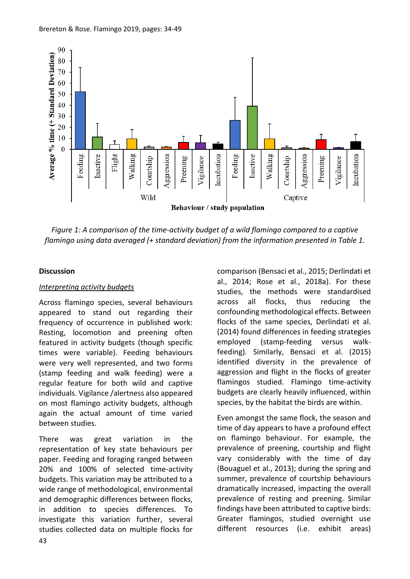

*Figure 1: A comparison of the time-activity budget of a wild flamingo compared to a captive flamingo using data averaged (+ standard deviation) from the information presented in Table 1.*

#### **Discussion**

#### *Interpreting activity budgets*

Across flamingo species, several behaviours appeared to stand out regarding their frequency of occurrence in published work: Resting, locomotion and preening often featured in activity budgets (though specific times were variable). Feeding behaviours were very well represented, and two forms (stamp feeding and walk feeding) were a regular feature for both wild and captive individuals. Vigilance /alertness also appeared on most flamingo activity budgets, although again the actual amount of time varied between studies.

There was great variation in the representation of key state behaviours per paper. Feeding and foraging ranged between 20% and 100% of selected time-activity budgets. This variation may be attributed to a wide range of methodological, environmental and demographic differences between flocks, in addition to species differences. To investigate this variation further, several studies collected data on multiple flocks for comparison (Bensaci et al., 2015; Derlindati et al., 2014; Rose et al., 2018a). For these studies, the methods were standardised across all flocks, thus reducing the confounding methodological effects. Between flocks of the same species, Derlindati et al. (2014) found differences in feeding strategies employed (stamp-feeding versus walkfeeding). Similarly, Bensaci et al. (2015) identified diversity in the prevalence of aggression and flight in the flocks of greater flamingos studied. Flamingo time-activity budgets are clearly heavily influenced, within species, by the habitat the birds are within.

Even amongst the same flock, the season and time of day appears to have a profound effect on flamingo behaviour. For example, the prevalence of preening, courtship and flight vary considerably with the time of day (Bouaguel et al., 2013); during the spring and summer, prevalence of courtship behaviours dramatically increased, impacting the overall prevalence of resting and preening. Similar findings have been attributed to captive birds: Greater flamingos, studied overnight use different resources (i.e. exhibit areas)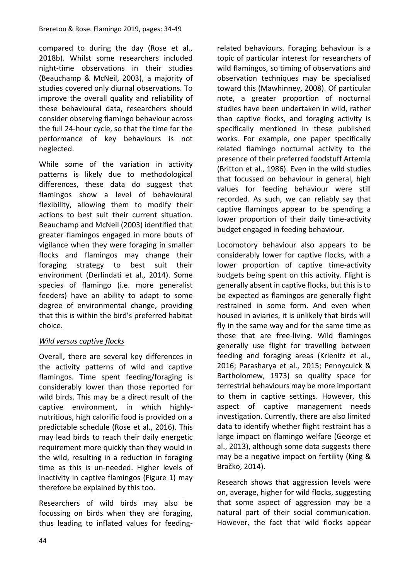compared to during the day (Rose et al., 2018b). Whilst some researchers included night-time observations in their studies (Beauchamp & McNeil, 2003), a majority of studies covered only diurnal observations. To improve the overall quality and reliability of these behavioural data, researchers should consider observing flamingo behaviour across the full 24-hour cycle, so that the time for the performance of key behaviours is not neglected.

While some of the variation in activity patterns is likely due to methodological differences, these data do suggest that flamingos show a level of behavioural flexibility, allowing them to modify their actions to best suit their current situation. Beauchamp and McNeil (2003) identified that greater flamingos engaged in more bouts of vigilance when they were foraging in smaller flocks and flamingos may change their foraging strategy to best suit their environment (Derlindati et al., 2014). Some species of flamingo (i.e. more generalist feeders) have an ability to adapt to some degree of environmental change, providing that this is within the bird's preferred habitat choice.

# *Wild versus captive flocks*

Overall, there are several key differences in the activity patterns of wild and captive flamingos. Time spent feeding/foraging is considerably lower than those reported for wild birds. This may be a direct result of the captive environment, in which highlynutritious, high calorific food is provided on a predictable schedule (Rose et al., 2016). This may lead birds to reach their daily energetic requirement more quickly than they would in the wild, resulting in a reduction in foraging time as this is un-needed. Higher levels of inactivity in captive flamingos (Figure 1) may therefore be explained by this too.

Researchers of wild birds may also be focussing on birds when they are foraging, thus leading to inflated values for feedingrelated behaviours. Foraging behaviour is a topic of particular interest for researchers of wild flamingos, so timing of observations and observation techniques may be specialised toward this (Mawhinney, 2008). Of particular note, a greater proportion of nocturnal studies have been undertaken in wild, rather than captive flocks, and foraging activity is specifically mentioned in these published works. For example, one paper specifically related flamingo nocturnal activity to the presence of their preferred foodstuff Artemia (Britton et al., 1986). Even in the wild studies that focussed on behaviour in general, high values for feeding behaviour were still recorded. As such, we can reliably say that captive flamingos appear to be spending a lower proportion of their daily time-activity budget engaged in feeding behaviour.

Locomotory behaviour also appears to be considerably lower for captive flocks, with a lower proportion of captive time-activity budgets being spent on this activity. Flight is generally absent in captive flocks, but this is to be expected as flamingos are generally flight restrained in some form. And even when housed in aviaries, it is unlikely that birds will fly in the same way and for the same time as those that are free-living. Wild flamingos generally use flight for travelling between feeding and foraging areas (Krienitz et al., 2016; Parasharya et al., 2015; Pennycuick & Bartholomew, 1973) so quality space for terrestrial behaviours may be more important to them in captive settings. However, this aspect of captive management needs investigation. Currently, there are also limited data to identify whether flight restraint has a large impact on flamingo welfare (George et al., 2013), although some data suggests there may be a negative impact on fertility (King & Bračko, 2014).

Research shows that aggression levels were on, average, higher for wild flocks, suggesting that some aspect of aggression may be a natural part of their social communication. However, the fact that wild flocks appear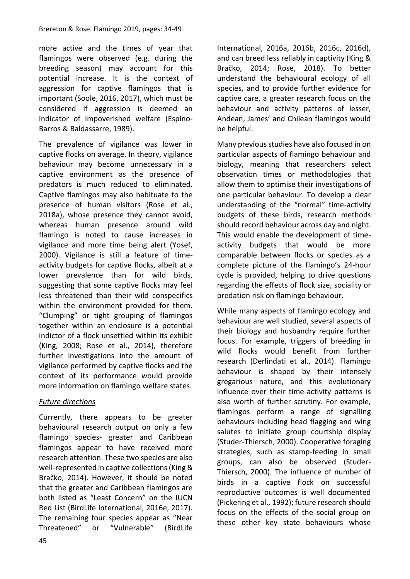more active and the times of year that flamingos were observed (e.g. during the breeding season) may account for this potential increase. It is the context of aggression for captive flamingos that is important (Soole, 2016, 2017), which must be considered if aggression is deemed an indicator of impoverished welfare (Espino-Barros & Baldassarre, 1989).

The prevalence of vigilance was lower in captive flocks on average. In theory, vigilance behaviour may become unnecessary in a captive environment as the presence of predators is much reduced to eliminated. Captive flamingos may also habituate to the presence of human visitors (Rose et al., 2018a), whose presence they cannot avoid, whereas human presence around wild flamingo is noted to cause increases in vigilance and more time being alert (Yosef, 2000). Vigilance is still a feature of timeactivity budgets for captive flocks, albeit at a lower prevalence than for wild birds, suggesting that some captive flocks may feel less threatened than their wild conspecifics within the environment provided for them. "Clumping" or tight grouping of flamingos together within an enclosure is a potential indictor of a flock unsettled within its exhibit (King, 2008; Rose et al., 2014), therefore further investigations into the amount of vigilance performed by captive flocks and the context of its performance would provide more information on flamingo welfare states.

# *Future directions*

Currently, there appears to be greater behavioural research output on only a few flamingo species- greater and Caribbean flamingos appear to have received more research attention. These two species are also well-represented in captive collections (King & Bračko, 2014). However, it should be noted that the greater and Caribbean flamingos are both listed as "Least Concern" on the IUCN Red List (BirdLife International, 2016e, 2017). The remaining four species appear as "Near Threatened" or "Vulnerable" (BirdLife International, 2016a, 2016b, 2016c, 2016d), and can breed less reliably in captivity (King & Bračko, 2014; Rose, 2018). To better understand the behavioural ecology of all species, and to provide further evidence for captive care, a greater research focus on the behaviour and activity patterns of lesser, Andean, James' and Chilean flamingos would be helpful.

Many previous studies have also focused in on particular aspects of flamingo behaviour and biology, meaning that researchers select observation times or methodologies that allow them to optimise their investigations of one particular behaviour. To develop a clear understanding of the "normal" time-activity budgets of these birds, research methods should record behaviour across day and night. This would enable the development of timeactivity budgets that would be more comparable between flocks or species as a complete picture of the flamingo's 24-hour cycle is provided, helping to drive questions regarding the effects of flock size, sociality or predation risk on flamingo behaviour.

While many aspects of flamingo ecology and behaviour are well studied, several aspects of their biology and husbandry require further focus. For example, triggers of breeding in wild flocks would benefit from further research (Derlindati et al., 2014). Flamingo behaviour is shaped by their intensely gregarious nature, and this evolutionary influence over their time-activity patterns is also worth of further scrutiny. For example, flamingos perform a range of signalling behaviours including head flagging and wing salutes to initiate group courtship display (Studer-Thiersch, 2000). Cooperative foraging strategies, such as stamp-feeding in small groups, can also be observed (Studer-Thiersch, 2000). The influence of number of birds in a captive flock on successful reproductive outcomes is well documented (Pickering et al., 1992); future research should focus on the effects of the social group on these other key state behaviours whose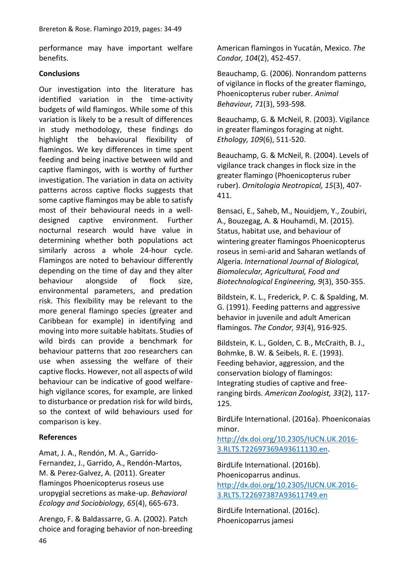performance may have important welfare benefits.

### **Conclusions**

Our investigation into the literature has identified variation in the time-activity budgets of wild flamingos. While some of this variation is likely to be a result of differences in study methodology, these findings do highlight the behavioural flexibility of flamingos. We key differences in time spent feeding and being inactive between wild and captive flamingos, with is worthy of further investigation. The variation in data on activity patterns across captive flocks suggests that some captive flamingos may be able to satisfy most of their behavioural needs in a welldesigned captive environment. Further nocturnal research would have value in determining whether both populations act similarly across a whole 24-hour cycle. Flamingos are noted to behaviour differently depending on the time of day and they alter behaviour alongside of flock size, environmental parameters, and predation risk. This flexibility may be relevant to the more general flamingo species (greater and Caribbean for example) in identifying and moving into more suitable habitats. Studies of wild birds can provide a benchmark for behaviour patterns that zoo researchers can use when assessing the welfare of their captive flocks. However, not all aspects of wild behaviour can be indicative of good welfarehigh vigilance scores, for example, are linked to disturbance or predation risk for wild birds, so the context of wild behaviours used for comparison is key.

### **References**

Amat, J. A., Rendón, M. A., Garrido-Fernandez, J., Garrido, A., Rendón-Martos, M. & Perez-Galvez, A. (2011). Greater flamingos Phoenicopterus roseus use uropygial secretions as make-up. *Behavioral Ecology and Sociobiology, 65*(4), 665-673.

Arengo, F. & Baldassarre, G. A. (2002). Patch choice and foraging behavior of non-breeding American flamingos in Yucatán, Mexico. *The Condor, 104*(2), 452-457.

Beauchamp, G. (2006). Nonrandom patterns of vigilance in flocks of the greater flamingo, Phoenicopterus ruber ruber. *Animal Behaviour, 71*(3), 593-598.

Beauchamp, G. & McNeil, R. (2003). Vigilance in greater flamingos foraging at night. *Ethology, 109*(6), 511-520.

Beauchamp, G. & McNeil, R. (2004). Levels of vigilance track changes in flock size in the greater flamingo (Phoenicopterus ruber ruber). *Ornitologia Neotropical, 15*(3), 407- 411.

Bensaci, E., Saheb, M., Nouidjem, Y., Zoubiri, A., Bouzegag, A. & Houhamdi, M. (2015). Status, habitat use, and behaviour of wintering greater flamingos Phoenicopterus roseus in semi-arid and Saharan wetlands of Algeria. *International Journal of Biological, Biomolecular, Agricultural, Food and Biotechnological Engineering, 9*(3), 350-355.

Bildstein, K. L., Frederick, P. C. & Spalding, M. G. (1991). Feeding patterns and aggressive behavior in juvenile and adult American flamingos. *The Condor, 93*(4), 916-925.

Bildstein, K. L., Golden, C. B., McCraith, B. J., Bohmke, B. W. & Seibels, R. E. (1993). Feeding behavior, aggression, and the conservation biology of flamingos: Integrating studies of captive and freeranging birds. *American Zoologist, 33*(2), 117- 125.

BirdLife International. (2016a). Phoeniconaias minor.

[http://dx.doi.org/10.2305/IUCN.UK.2016-](http://dx.doi.org/10.2305/IUCN.UK.2016-3.RLTS.T22697369A93611130.en) [3.RLTS.T22697369A93611130.en.](http://dx.doi.org/10.2305/IUCN.UK.2016-3.RLTS.T22697369A93611130.en)

BirdLife International. (2016b). Phoenicoparrus andinus. [http://dx.doi.org/10.2305/IUCN.UK.2016-](http://dx.doi.org/10.2305/IUCN.UK.2016-3.RLTS.T22697387A93611749.en) [3.RLTS.T22697387A93611749.en](http://dx.doi.org/10.2305/IUCN.UK.2016-3.RLTS.T22697387A93611749.en)

BirdLife International. (2016c). Phoenicoparrus jamesi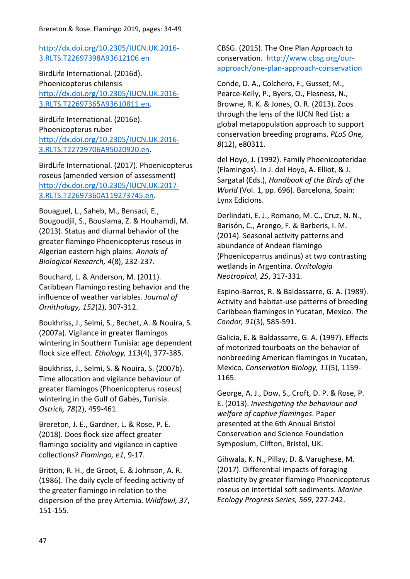## [http://dx.doi.org/10.2305/IUCN.UK.2016-](http://dx.doi.org/10.2305/IUCN.UK.2016-3.RLTS.T22697398A93612106.en) [3.RLTS.T22697398A93612106.en](http://dx.doi.org/10.2305/IUCN.UK.2016-3.RLTS.T22697398A93612106.en)

BirdLife International. (2016d). Phoenicopterus chilensis [http://dx.doi.org/10.2305/IUCN.UK.2016-](http://dx.doi.org/10.2305/IUCN.UK.2016-3.RLTS.T22697365A93610811.en) [3.RLTS.T22697365A93610811.en.](http://dx.doi.org/10.2305/IUCN.UK.2016-3.RLTS.T22697365A93610811.en)

BirdLife International. (2016e). Phoenicopterus ruber [http://dx.doi.org/10.2305/IUCN.UK.2016-](http://dx.doi.org/10.2305/IUCN.UK.2016-3.RLTS.T22729706A95020920.en) [3.RLTS.T22729706A95020920.en.](http://dx.doi.org/10.2305/IUCN.UK.2016-3.RLTS.T22729706A95020920.en)

BirdLife International. (2017). Phoenicopterus roseus (amended version of assessment) [http://dx.doi.org/10.2305/IUCN.UK.2017-](http://dx.doi.org/10.2305/IUCN.UK.2017-3.RLTS.T22697360A119273745.en) [3.RLTS.T22697360A119273745.en.](http://dx.doi.org/10.2305/IUCN.UK.2017-3.RLTS.T22697360A119273745.en)

Bouaguel, L., Saheb, M., Bensaci, E., Bougoudjil, S., Bouslama, Z. & Houhamdi, M. (2013). Status and diurnal behavior of the greater flamingo Phoenicopterus roseus in Algerian eastern high plains. *Annals of Biological Research, 4*(8), 232-237.

Bouchard, L. & Anderson, M. (2011). Caribbean Flamingo resting behavior and the influence of weather variables. *Journal of Ornithology, 152*(2), 307-312.

Boukhriss, J., Selmi, S., Bechet, A. & Nouira, S. (2007a). Vigilance in greater flamingos wintering in Southern Tunisia: age dependent flock size effect. *Ethology, 113*(4), 377-385.

Boukhriss, J., Selmi, S. & Nouira, S. (2007b). Time allocation and vigilance behaviour of greater flamingos (Phoenicopterus roseus) wintering in the Gulf of Gabès, Tunisia. *Ostrich, 78*(2), 459-461.

Brereton, J. E., Gardner, L. & Rose, P. E. (2018). Does flock size affect greater flamingo sociality and vigilance in captive collections? *Flamingo, e1*, 9-17.

Britton, R. H., de Groot, E. & Johnson, A. R. (1986). The daily cycle of feeding activity of the greater flamingo in relation to the dispersion of the prey Artemia. *Wildfowl, 37*, 151-155.

CBSG. (2015). The One Plan Approach to conservation. [http://www.cbsg.org/our](http://www.cbsg.org/our-approach/one-plan-approach-conservation)[approach/one-plan-approach-conservation](http://www.cbsg.org/our-approach/one-plan-approach-conservation)

Conde, D. A., Colchero, F., Gusset, M., Pearce-Kelly, P., Byers, O., Flesness, N., Browne, R. K. & Jones, O. R. (2013). Zoos through the lens of the IUCN Red List: a global metapopulation approach to support conservation breeding programs. *PLoS One, 8*(12), e80311.

del Hoyo, J. (1992). Family Phoenicopteridae (Flamingos). In J. del Hoyo, A. Elliot, & J. Sargatal (Eds.), *Handbook of the Birds of the World* (Vol. 1, pp. 696). Barcelona, Spain: Lynx Edicions.

Derlindati, E. J., Romano, M. C., Cruz, N. N., Barisón, C., Arengo, F. & Barberis, I. M. (2014). Seasonal activity patterns and abundance of Andean flamingo (Phoenicoparrus andinus) at two contrasting wetlands in Argentina. *Ornitologia Neotropical, 25*, 317-331.

Espino-Barros, R. & Baldassarre, G. A. (1989). Activity and habitat-use patterns of breeding Caribbean flamingos in Yucatan, Mexico. *The Condor, 91*(3), 585-591.

Galicia, E. & Baldassarre, G. A. (1997). Effects of motorized tourboats on the behavior of nonbreeding American flamingos in Yucatan, Mexico. *Conservation Biology, 11*(5), 1159- 1165.

George, A. J., Dow, S., Croft, D. P. & Rose, P. E. (2013). *Investigating the behaviour and welfare of captive flamingos*. Paper presented at the 6th Annual Bristol Conservation and Science Foundation Symposium, Clifton, Bristol, UK.

Gihwala, K. N., Pillay, D. & Varughese, M. (2017). Differential impacts of foraging plasticity by greater flamingo Phoenicopterus roseus on intertidal soft sediments. *Marine Ecology Progress Series, 569*, 227-242.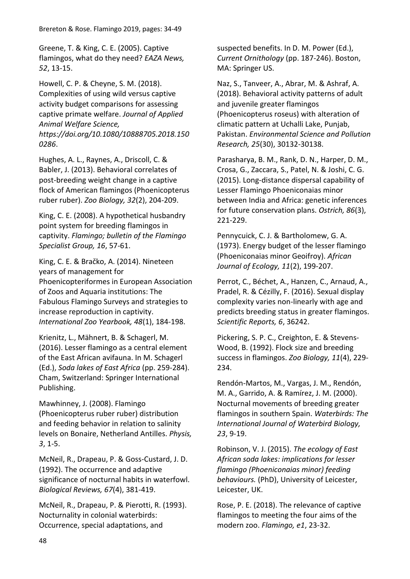Greene, T. & King, C. E. (2005). Captive flamingos, what do they need? *EAZA News, 52*, 13-15.

Howell, C. P. & Cheyne, S. M. (2018). Complexities of using wild versus captive activity budget comparisons for assessing captive primate welfare. *Journal of Applied Animal Welfare Science, https://doi.org/10.1080/10888705.2018.150 0286*.

Hughes, A. L., Raynes, A., Driscoll, C. & Babler, J. (2013). Behavioral correlates of post-breeding weight change in a captive flock of American flamingos (Phoenicopterus ruber ruber). *Zoo Biology, 32*(2), 204-209.

King, C. E. (2008). A hypothetical husbandry point system for breeding flamingos in captivity. *Flamingo; bulletin of the Flamingo Specialist Group, 16*, 57-61.

King, C. E. & Bračko, A. (2014). Nineteen years of management for Phoenicopteriformes in European Association of Zoos and Aquaria institutions: The Fabulous Flamingo Surveys and strategies to increase reproduction in captivity. *International Zoo Yearbook, 48*(1), 184-198.

Krienitz, L., Mähnert, B. & Schagerl, M. (2016). Lesser flamingo as a central element of the East African avifauna. In M. Schagerl (Ed.), *Soda lakes of East Africa* (pp. 259-284). Cham, Switzerland: Springer International Publishing.

Mawhinney, J. (2008). Flamingo (Phoenicopterus ruber ruber) distribution and feeding behavior in relation to salinity levels on Bonaire, Netherland Antilles. *Physis, 3*, 1-5.

McNeil, R., Drapeau, P. & Goss‐Custard, J. D. (1992). The occurrence and adaptive significance of nocturnal habits in waterfowl. *Biological Reviews, 67*(4), 381-419.

McNeil, R., Drapeau, P. & Pierotti, R. (1993). Nocturnality in colonial waterbirds: Occurrence, special adaptations, and

suspected benefits. In D. M. Power (Ed.), *Current Ornithology* (pp. 187-246). Boston, MA: Springer US.

Naz, S., Tanveer, A., Abrar, M. & Ashraf, A. (2018). Behavioral activity patterns of adult and juvenile greater flamingos (Phoenicopterus roseus) with alteration of climatic pattern at Uchalli Lake, Punjab, Pakistan. *Environmental Science and Pollution Research, 25*(30), 30132-30138.

Parasharya, B. M., Rank, D. N., Harper, D. M., Crosa, G., Zaccara, S., Patel, N. & Joshi, C. G. (2015). Long-distance dispersal capability of Lesser Flamingo Phoeniconaias minor between India and Africa: genetic inferences for future conservation plans. *Ostrich, 86*(3), 221-229.

Pennycuick, C. J. & Bartholomew, G. A. (1973). Energy budget of the lesser flamingo (Phoeniconaias minor Geoifroy). *African Journal of Ecology, 11*(2), 199-207.

Perrot, C., Béchet, A., Hanzen, C., Arnaud, A., Pradel, R. & Cézilly, F. (2016). Sexual display complexity varies non-linearly with age and predicts breeding status in greater flamingos. *Scientific Reports, 6*, 36242.

Pickering, S. P. C., Creighton, E. & Stevens-Wood, B. (1992). Flock size and breeding success in flamingos. *Zoo Biology, 11*(4), 229- 234.

Rendón-Martos, M., Vargas, J. M., Rendón, M. A., Garrido, A. & Ramírez, J. M. (2000). Nocturnal movements of breeding greater flamingos in southern Spain. *Waterbirds: The International Journal of Waterbird Biology, 23*, 9-19.

Robinson, V. J. (2015). *The ecology of East African soda lakes: implications for lesser flamingo (Phoeniconaias minor) feeding behaviours.* (PhD), University of Leicester, Leicester, UK.

Rose, P. E. (2018). The relevance of captive flamingos to meeting the four aims of the modern zoo. *Flamingo, e1*, 23-32.